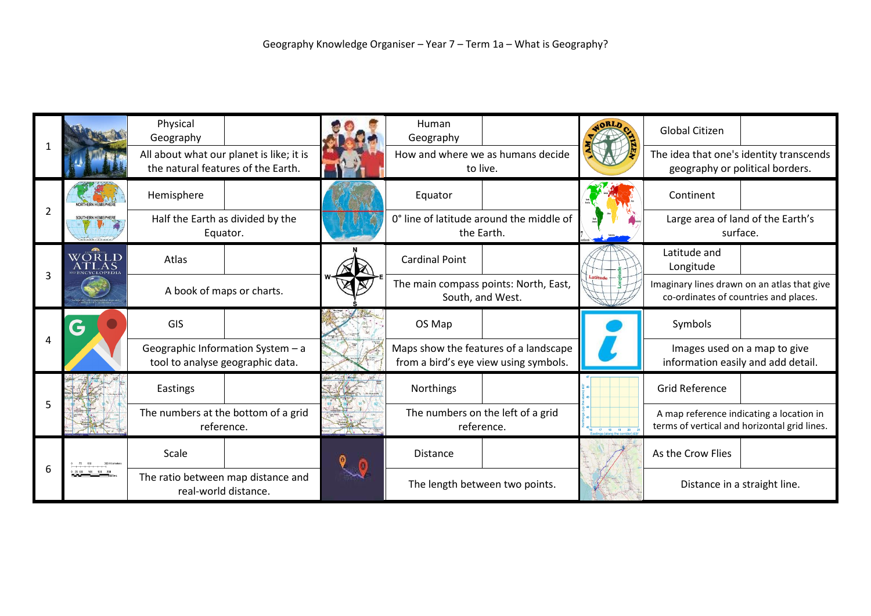| $\overline{2}$ |       | Physical<br>Geography                                                          |  | Human<br>Geography                                                             |  |             | <b>Global Citizen</b>                                                                    |  |
|----------------|-------|--------------------------------------------------------------------------------|--|--------------------------------------------------------------------------------|--|-------------|------------------------------------------------------------------------------------------|--|
|                |       | All about what our planet is like; it is<br>the natural features of the Earth. |  | How and where we as humans decide<br>to live.                                  |  |             | The idea that one's identity transcends<br>geography or political borders.               |  |
|                |       | Hemisphere                                                                     |  | Equator                                                                        |  |             | Continent                                                                                |  |
| 3              |       | Half the Earth as divided by the<br>Equator.                                   |  | 0° line of latitude around the middle of<br>the Earth.                         |  |             | Large area of land of the Earth's<br>surface.                                            |  |
|                | WORLD | Atlas                                                                          |  | <b>Cardinal Point</b>                                                          |  |             | Latitude and<br>Longitude                                                                |  |
|                |       | A book of maps or charts.                                                      |  | The main compass points: North, East,<br>South, and West.                      |  |             | Imaginary lines drawn on an atlas that give<br>co-ordinates of countries and places.     |  |
| 4              | Ğ     | GIS                                                                            |  | OS Map                                                                         |  |             | Symbols                                                                                  |  |
|                |       | Geographic Information System - a<br>tool to analyse geographic data.          |  | Maps show the features of a landscape<br>from a bird's eye view using symbols. |  |             | Images used on a map to give<br>information easily and add detail.                       |  |
|                |       | Eastings                                                                       |  | Northings                                                                      |  |             | <b>Grid Reference</b>                                                                    |  |
| 5              |       | The numbers at the bottom of a grid<br>reference.                              |  | The numbers on the left of a grid<br>reference.                                |  | 17 18 19 20 | A map reference indicating a location in<br>terms of vertical and horizontal grid lines. |  |
|                |       | Scale                                                                          |  | Distance                                                                       |  |             | As the Crow Flies                                                                        |  |
|                |       | The ratio between map distance and<br>real-world distance.                     |  | The length between two points.                                                 |  |             | Distance in a straight line.                                                             |  |